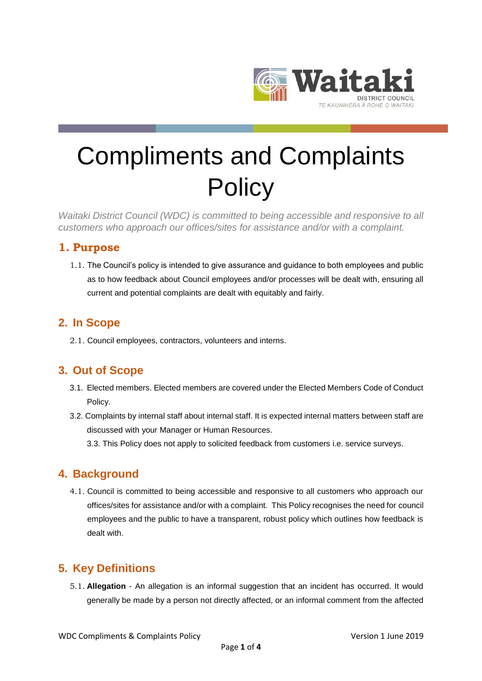

# Compliments and Complaints **Policy**

*Waitaki District Council (WDC) is committed to being accessible and responsive to all customers who approach our offices/sites for assistance and/or with a complaint.*

### **1. Purpose**

1.1. The Council's policy is intended to give assurance and guidance to both employees and public as to how feedback about Council employees and/or processes will be dealt with, ensuring all current and potential complaints are dealt with equitably and fairly.

## **2. In Scope**

2.1. Council employees, contractors, volunteers and interns.

## **3. Out of Scope**

- 3.1. Elected members. Elected members are covered under the Elected Members Code of Conduct Policy.
- 3.2. Complaints by internal staff about internal staff. It is expected internal matters between staff are discussed with your Manager or Human Resources.
	- 3.3. This Policy does not apply to solicited feedback from customers i.e. service surveys.

## **4. Background**

4.1. Council is committed to being accessible and responsive to all customers who approach our offices/sites for assistance and/or with a complaint. This Policy recognises the need for council employees and the public to have a transparent, robust policy which outlines how feedback is dealt with.

# **5. Key Definitions**

5.1. **Allegation** - An allegation is an informal suggestion that an incident has occurred. It would generally be made by a person not directly affected, or an informal comment from the affected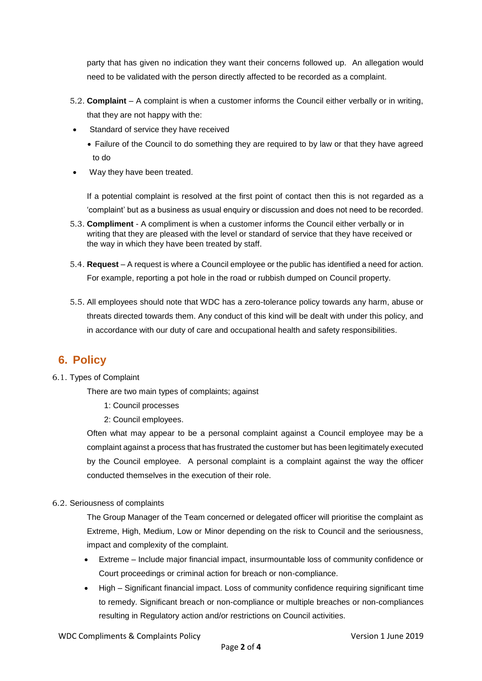party that has given no indication they want their concerns followed up. An allegation would need to be validated with the person directly affected to be recorded as a complaint.

- 5.2. **Complaint** A complaint is when a customer informs the Council either verbally or in writing, that they are not happy with the:
- Standard of service they have received
	- Failure of the Council to do something they are required to by law or that they have agreed to do
- Way they have been treated.

If a potential complaint is resolved at the first point of contact then this is not regarded as a 'complaint' but as a business as usual enquiry or discussion and does not need to be recorded.

- 5.3. **Compliment** A compliment is when a customer informs the Council either verbally or in writing that they are pleased with the level or standard of service that they have received or the way in which they have been treated by staff.
- 5.4. **Request**  A request is where a Council employee or the public has identified a need for action. For example, reporting a pot hole in the road or rubbish dumped on Council property.
- 5.5. All employees should note that WDC has a zero-tolerance policy towards any harm, abuse or threats directed towards them. Any conduct of this kind will be dealt with under this policy, and in accordance with our duty of care and occupational health and safety responsibilities.

# **6. Policy**

#### 6.1. Types of Complaint

There are two main types of complaints; against

- 1: Council processes
- 2: Council employees.

Often what may appear to be a personal complaint against a Council employee may be a complaint against a process that has frustrated the customer but has been legitimately executed by the Council employee. A personal complaint is a complaint against the way the officer conducted themselves in the execution of their role.

#### 6.2. Seriousness of complaints

The Group Manager of the Team concerned or delegated officer will prioritise the complaint as Extreme, High, Medium, Low or Minor depending on the risk to Council and the seriousness, impact and complexity of the complaint.

- Extreme Include major financial impact, insurmountable loss of community confidence or Court proceedings or criminal action for breach or non-compliance.
- High Significant financial impact. Loss of community confidence requiring significant time to remedy. Significant breach or non-compliance or multiple breaches or non-compliances resulting in Regulatory action and/or restrictions on Council activities.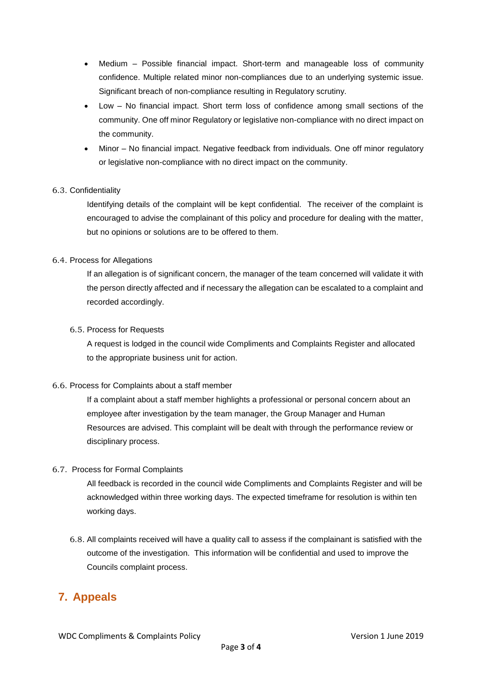- Medium Possible financial impact. Short-term and manageable loss of community confidence. Multiple related minor non-compliances due to an underlying systemic issue. Significant breach of non-compliance resulting in Regulatory scrutiny.
- Low No financial impact. Short term loss of confidence among small sections of the community. One off minor Regulatory or legislative non-compliance with no direct impact on the community.
- Minor No financial impact. Negative feedback from individuals. One off minor regulatory or legislative non-compliance with no direct impact on the community.

#### 6.3. Confidentiality

Identifying details of the complaint will be kept confidential. The receiver of the complaint is encouraged to advise the complainant of this policy and procedure for dealing with the matter, but no opinions or solutions are to be offered to them.

#### 6.4. Process for Allegations

If an allegation is of significant concern, the manager of the team concerned will validate it with the person directly affected and if necessary the allegation can be escalated to a complaint and recorded accordingly.

#### 6.5. Process for Requests

A request is lodged in the council wide Compliments and Complaints Register and allocated to the appropriate business unit for action.

#### 6.6. Process for Complaints about a staff member

If a complaint about a staff member highlights a professional or personal concern about an employee after investigation by the team manager, the Group Manager and Human Resources are advised. This complaint will be dealt with through the performance review or disciplinary process.

#### 6.7. Process for Formal Complaints

All feedback is recorded in the council wide Compliments and Complaints Register and will be acknowledged within three working days. The expected timeframe for resolution is within ten working days.

6.8. All complaints received will have a quality call to assess if the complainant is satisfied with the outcome of the investigation. This information will be confidential and used to improve the Councils complaint process.

# **7. Appeals**